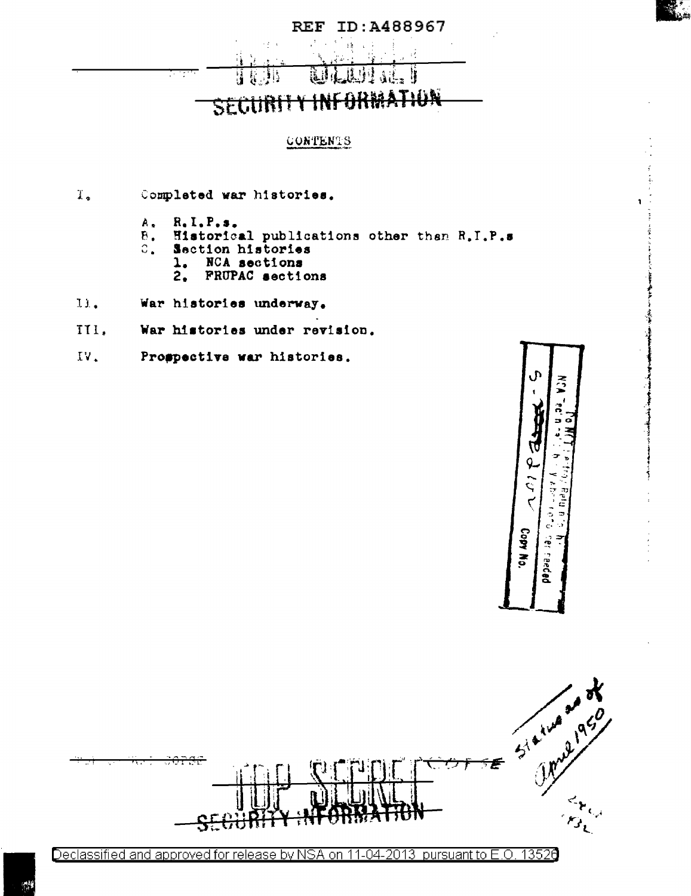

**The Main Columns** 

## **REF ID: A488967**

### ់រំដូ <del>arm</del> SECURIT

#### **CONTENTS**

- $\mathbf{I}_{\bullet}$ Completed war histories.
	- $R, I, P, s$ . À,
	- Historical publications other than R.I.P.s  $\mathbf B$  .
	- $\mathbb{C}$ . Section histories
		- NCA sections 1.
		- $2.$ FRUPAC sections
- 11. War histories underway.
- III. War histories under revision.
- $IV.$ Prospective war histories.

Þ  $\tilde{\mathbf{S}}$ ०<br>२<br>२ Copy No. cer readed



Declassified and approved for release by NSA on 11-04-2013 pursuant to E.O. 13526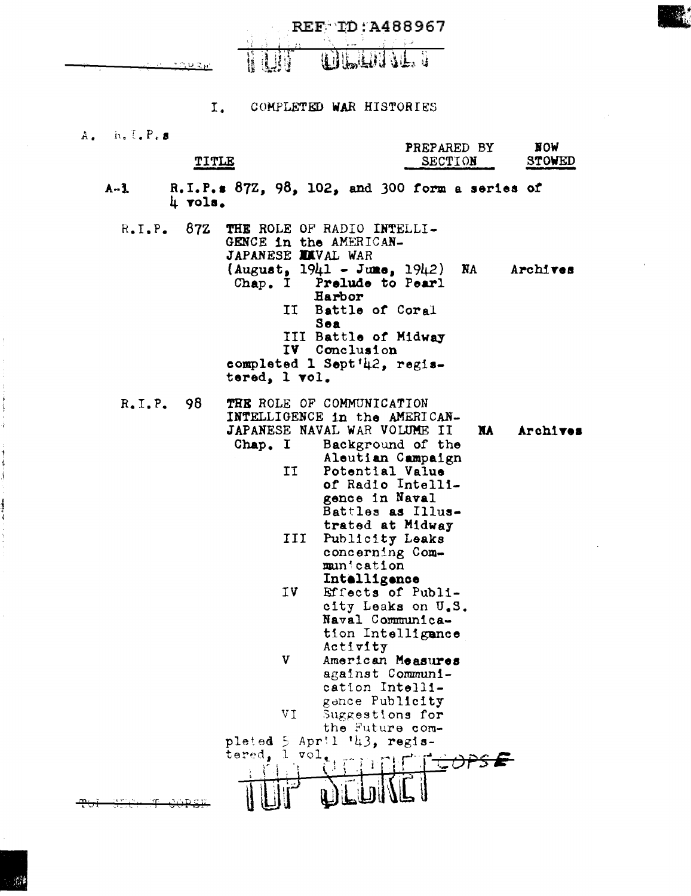**REF ID: A488967** WILLING. H UIL



TITLE

#### $I<sub>1</sub>$ COMPLETED WAR HISTORIES

 $i, i, i, P, s$  $A_{\bullet}$ 

| PREPARED BY<br>SECTION<br>بالمواسع المنعية القرموي والجدارات ويرتدى ويجهوا كالمد | <b>NOW</b><br><b>STOWED</b><br>أنفعان ويسترقنا الزائبين مردانهم والنبات |
|----------------------------------------------------------------------------------|-------------------------------------------------------------------------|
|                                                                                  |                                                                         |

R.I.P.s  $87Z$ ,  $98$ ,  $102$ , and 300 form a series of  $\frac{1}{4}$  vols.  $A-1$ 

| $R_{\bullet}I_{\bullet}P_{\bullet} 87Z$ | GENCE in the AMERICAN-<br>JAPANESE XXVAL WAR<br>Chap. I | THE ROLE OF RADIO INTELLI-<br>$(August, 1941 - June, 1942)$ NA Archives<br>Prelude to Pearl<br>Harbor<br>II Battle of Coral<br>Sea<br>III Battle of Midway<br>IV Conclusion<br>completed 1 Sept'42, regis- |                       |
|-----------------------------------------|---------------------------------------------------------|------------------------------------------------------------------------------------------------------------------------------------------------------------------------------------------------------------|-----------------------|
|                                         | tered, 1 vol.                                           |                                                                                                                                                                                                            |                       |
| $R_{\bullet}I_{\bullet}P_{\bullet}$ 98  |                                                         | THE ROLE OF COMMUNICATION<br>INTELLIGENCE in the AMERICAN-<br>JAPANESE NAVAL WAR VOLUME II                                                                                                                 | <b>NA</b><br>Archives |
|                                         | Chap. I                                                 | Background of the                                                                                                                                                                                          |                       |
|                                         |                                                         | Aleutian Campaign<br>Potential Value                                                                                                                                                                       |                       |
|                                         | ΙI                                                      | of Radio Intelli-                                                                                                                                                                                          |                       |
|                                         |                                                         | gence in Naval                                                                                                                                                                                             |                       |
|                                         |                                                         | Battles as Illus-                                                                                                                                                                                          |                       |
|                                         |                                                         | trated at Midway                                                                                                                                                                                           |                       |
|                                         | III                                                     | Publicity Leaks                                                                                                                                                                                            |                       |
|                                         |                                                         | concerning Com-<br>munication                                                                                                                                                                              |                       |
|                                         |                                                         | Intelligence                                                                                                                                                                                               |                       |
|                                         | IV                                                      | Effects of Publi-                                                                                                                                                                                          |                       |
|                                         |                                                         | city Leaks on U.S.                                                                                                                                                                                         |                       |
|                                         |                                                         | Naval Communica-                                                                                                                                                                                           |                       |
|                                         |                                                         | tion Intelligance                                                                                                                                                                                          |                       |
|                                         | V                                                       | Activity<br>American Measures                                                                                                                                                                              |                       |
|                                         |                                                         | against Communi-                                                                                                                                                                                           |                       |
|                                         |                                                         | cation Intelli-                                                                                                                                                                                            |                       |
|                                         |                                                         | gence Publicity                                                                                                                                                                                            |                       |
|                                         | VŢ                                                      | Suggestions for                                                                                                                                                                                            |                       |
|                                         | pleted 5                                                | the Future com-<br>April $'_{43}$ , regis-                                                                                                                                                                 |                       |
|                                         | $\mathbf{1}$<br>tered.<br>$\mathtt{vol}$                |                                                                                                                                                                                                            |                       |
|                                         |                                                         |                                                                                                                                                                                                            |                       |
|                                         |                                                         |                                                                                                                                                                                                            |                       |

 $\frac{1}{2} \left( \frac{1}{2} \right)$  . The properties of  $\frac{1}{2}$ 

1、童子喜欢 -- 喜欢

医腹膜炎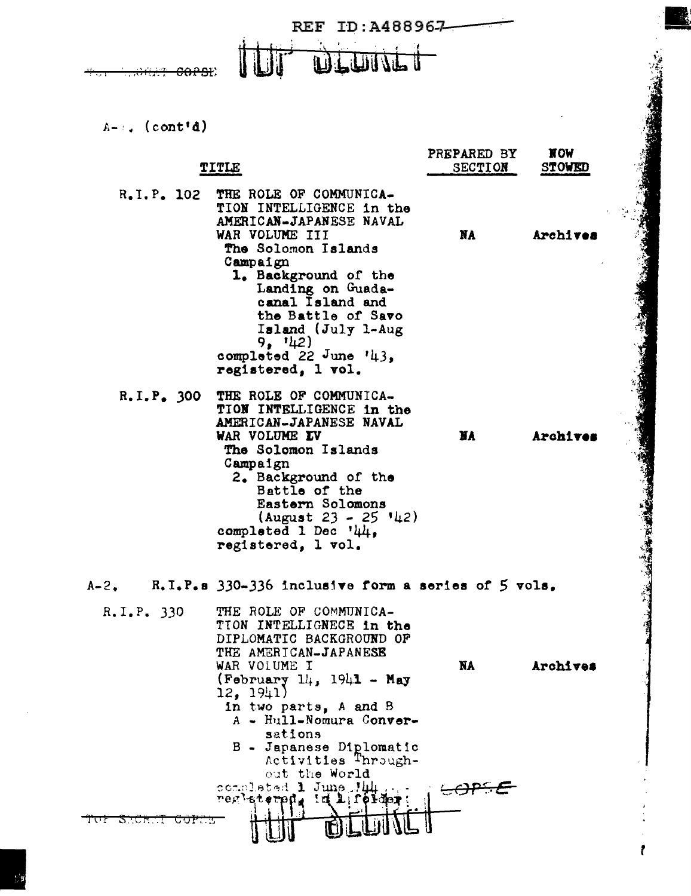

 $A-1$ . (cont'd)

|              | TITLE                                                                                                                                                                                                                                                                                                          | PREPARED BY<br>SECTION | <b>NOM</b><br><b>STOWED</b> |
|--------------|----------------------------------------------------------------------------------------------------------------------------------------------------------------------------------------------------------------------------------------------------------------------------------------------------------------|------------------------|-----------------------------|
| R.I.P. 102   | THE ROLE OF COMMUNICA-<br>TION INTELLIGENCE in the<br>AMERICAN-JAPANESE NAVAL<br>WAR VOLUME III<br>The Solomon Islands<br>Campaign<br>1. Background of the<br>Landing on Guada-<br>canal Island and<br>the Battle of Savo<br>Island (July 1-Aug)<br>9, 142)<br>completed 22 June $'43$ ,<br>registered, 1 vol. | NA                     | Archives                    |
| R.I.P. 300   | THE ROLE OF COMMUNICA-<br>TION INTELLIGENCE in the<br>AMERICAN-JAPANESE NAVAL<br>WAR VOLUME IV<br>The Solomon Islands<br>Campaign<br>2. Background of the<br>Battle of the<br>Eastern Solomons<br>$(August 23 - 25 '42)$<br>completed 1 Dec $'44$ .<br>registered, 1 vol.                                      | <b>NA</b>              | Archives                    |
| $A - 2$ .    | R.I.P.s 330-336 inclusive form a series of 5 vols.                                                                                                                                                                                                                                                             |                        |                             |
| R.I.P. 330   | THE ROLE OF COMMUNICA-<br>TION INTELLIGNECE in the<br>DIPLOMATIC BACKGROUND OF<br>THE AMERICAN-JAPANESE<br>WAR VOLUME I<br>$(February 14, 1941 - May)$<br>12, 1941)<br>in two parts, A and B<br>A - Hull-Nomura Conver-<br>sations<br>B - Japanese Diplomatic<br>Activities Through-                           | <b>NA</b>              | Archives                    |
| STURTI UUFUS | out the World<br>completed 1 June Jul<br>regletered.<br>$\mathbf{a}$                                                                                                                                                                                                                                           |                        |                             |

**SOUTHERN** 

f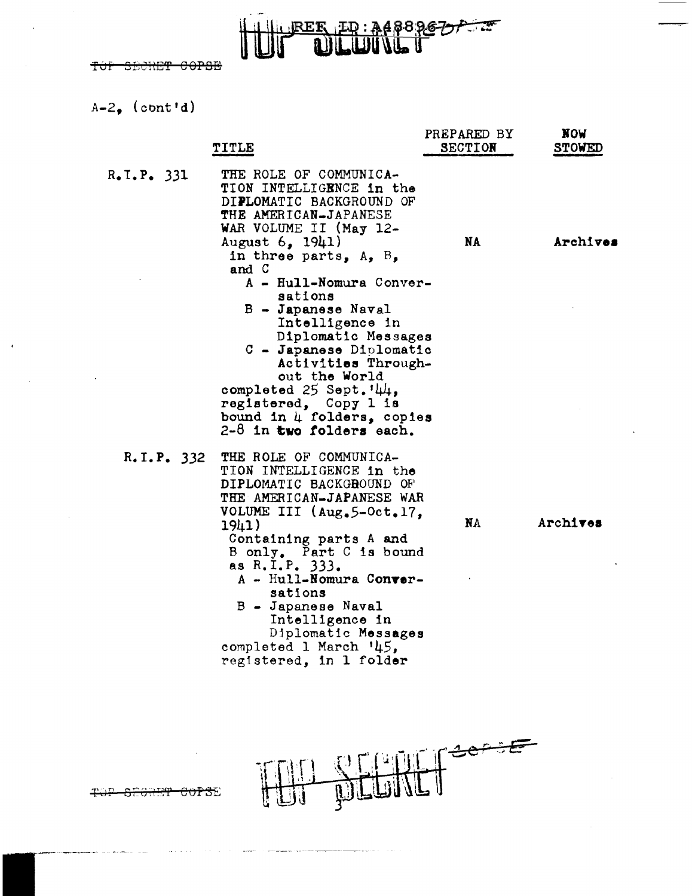$A-2$ . (cont'd)

 $\cdot$ 

|            | <b>TITLE</b>                                                                                                                                                                                                                                                                                                                                                                        | PREPARED BY<br><b>SECTION</b> | <b>NOM</b><br><b>STOWED</b> |
|------------|-------------------------------------------------------------------------------------------------------------------------------------------------------------------------------------------------------------------------------------------------------------------------------------------------------------------------------------------------------------------------------------|-------------------------------|-----------------------------|
| R.I.P. 331 | THE ROLE OF COMMUNICA-<br>TION INTELLIGENCE in the<br>DIPLOMATIC BACKGROUND OF<br>THE AMERICAN-JAPANESE<br>WAR VOLUME II (May 12-                                                                                                                                                                                                                                                   |                               |                             |
|            | August 6, 1941)<br>in three parts, $A_2$ , $B_3$<br>and C<br>A - Hull-Nomura Conver-<br>sations<br>$B - Japanese$ Naval<br>Intelligence in<br>Diplomatic Messages<br>C - Japanese Diplomatic<br>Activities Through-<br>out the World<br>completed $25$ Sept. $44$ ,<br>registered, Copy 1 is<br>bound in 4 folders, copies<br>$2-8$ in two folders each.                            | <b>NA</b>                     | Archives                    |
| R.I.P. 332 | THE ROLE OF COMMUNICA-<br>TION INTELLIGENCE in the<br>DIPLOMATIC BACKGROUND OF<br>THE AMERICAN-JAPANESE WAR<br>VOLUME III (Aug.5-Oct.17,<br>1941)<br>Containing parts A and<br>B only. Part C is bound<br>as R.I.P. 333.<br>A - Hull-Nomura Conver-<br>sations<br>B - Japanese Naval<br>Intelligence in<br>Diplomatic Messages<br>completed 1 March '45,<br>registered, in 1 folder | <b>NA</b>                     | Archives                    |

REE ED: 34889622



. . . . . . . . .

 $\ddot{+}$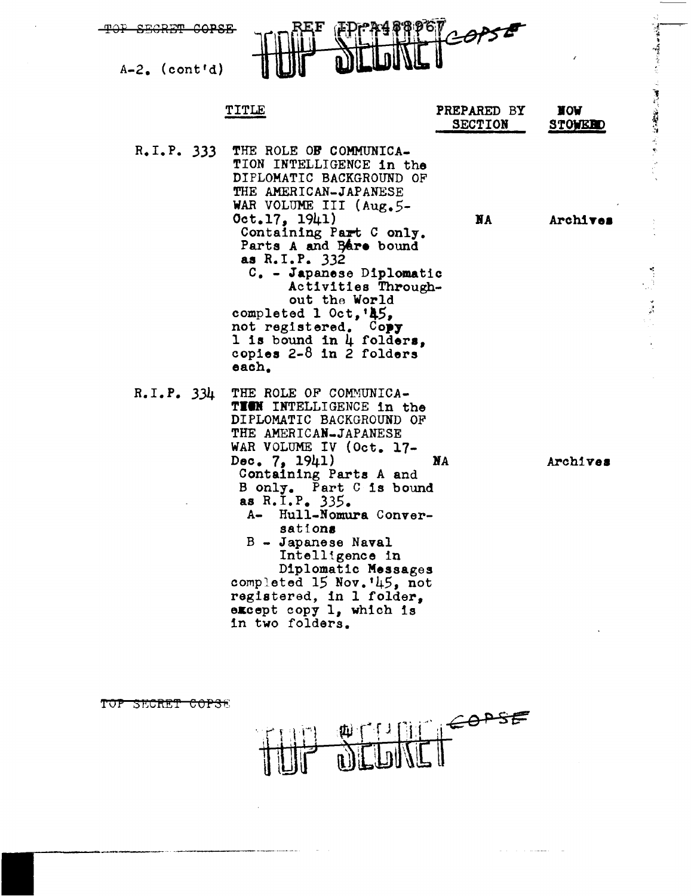**JRET COPSE**  $A-2$ . (cont'd)

|            | TITLE                                                                                                                                                                                                                                                                                                                                                                                                                                            | PREPARED BY<br><b>SECTION</b> | <b>NOA</b><br><b>STOWERD</b> |
|------------|--------------------------------------------------------------------------------------------------------------------------------------------------------------------------------------------------------------------------------------------------------------------------------------------------------------------------------------------------------------------------------------------------------------------------------------------------|-------------------------------|------------------------------|
|            | R.I.P. 333 THE ROLE OF COMMUNICA-<br>TION INTELLIGENCE in the<br>DIPLOMATIC BACKGROUND OF<br>THE AMERICAN-JAPANESE<br>WAR VOLUME III $(\text{Aug}_\bullet 5 -$<br>Oct.17. 1941)<br>Containing Part C only.<br>Parts A and Bare bound<br>as R.I.P. 332<br>C. - Japanese Diplomatic<br>Activities Through-<br>out the World<br>completed 1 Oct, '45,<br>not registered. Copy<br>1 is bound in $\mu$ folders,<br>copies $2-8$ in 2 folders<br>each. | NA                            | Archives                     |
| R.I.P. 334 | THE ROLE OF COMMUNICA-<br>T YEN<br>TNTRLLIGRNCR in the                                                                                                                                                                                                                                                                                                                                                                                           |                               |                              |

· あいて はなありには こ ことのある

DIPLOMATIC BACKGROUND OF THE AMERICAN-JAPANESE WAR VOLUME IV (Oct. 17-Dec.  $7, 1941$ **NA** Archives Containing Parts A and B only. Part C is bound<br>as R.I.P. 335.<br>A- Hull-Nomura Conversations B - Japanese Naval Intelligence in Diplomatic Messages completed 15 Nov. '45, not registered, in 1 folder, except copy 1, which is in two folders.

TOP SECRET COPSE COPSE 

 $\alpha$  ,  $\alpha$  ,  $\alpha$  ,  $\alpha$  , assumed as  $\alpha$  ,  $\alpha$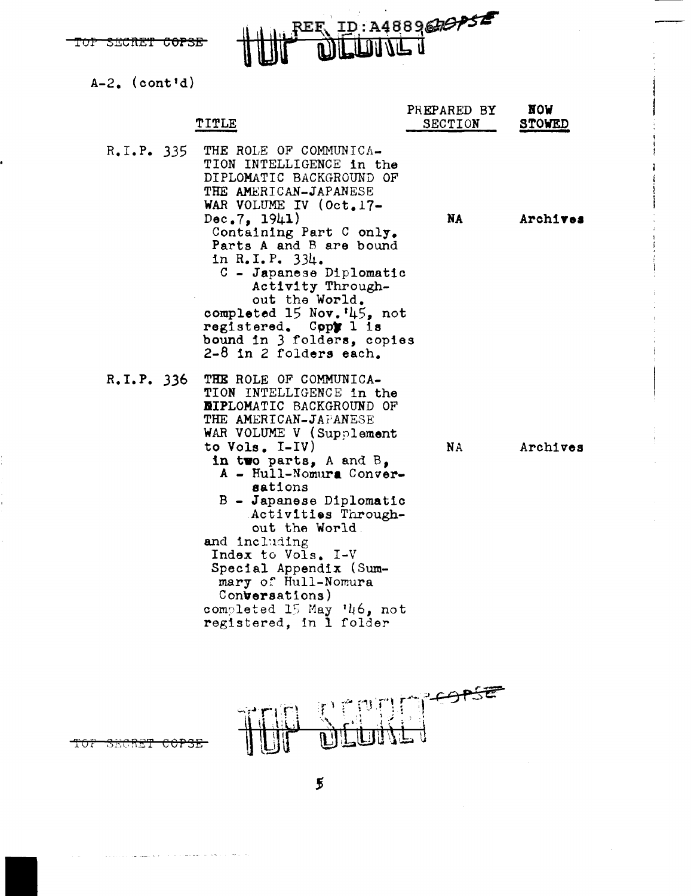REE ID: A488967675

 $A-2$ ,  $(cont'd)$ 

|                                        | <b>TITLE</b>                                                                                                                                                                                                                                                                                     | PREPARED BY<br>SECTION | <b>NOM</b><br><b>STOWED</b> |
|----------------------------------------|--------------------------------------------------------------------------------------------------------------------------------------------------------------------------------------------------------------------------------------------------------------------------------------------------|------------------------|-----------------------------|
| $R_{\bullet}I_{\bullet}P_{\bullet}335$ | THE ROLE OF COMMUNICA-<br>TION INTELLIGENCE in the<br>DIPLOMATIC BACKGROUND OF<br>THE AMERICAN-JAPANESE<br>WAR VOLUME IV (Oct.17-<br>Dec.7.1941)<br>Containing Part C only.<br>Parts A and B are bound<br>in R.I.P. 334.<br>C - Japanese Diplomatic                                              | NA                     | Archives                    |
|                                        | Activity Through-<br>out the World.<br>completed 15 Nov. '45, not<br>registered. Copy 1 is<br>bound in 3 folders, copies<br>2-8 in 2 folders each.                                                                                                                                               |                        |                             |
| R.I.P. 336                             | THE ROLE OF COMMUNICA-<br>TION INTELLIGENCE in the<br><b>NIPLOMATIC BACKGROUND OF</b><br>THE AMERICAN-JAPANESE<br>WAR VOLUME V (Supplement<br>to Vols. I-IV)<br>in two parts, A and B,<br>A - Hull-Nomura Conver-<br>sations<br>B - Japanese Diplomatic<br>Activities Through-<br>out the World. | <b>NA</b>              | Archives                    |
|                                        | and including<br>Index to Vols. I-V<br>Special Appendix (Sum-<br>mary of Hull-Nomura<br>Conversations)<br>completed 15 May '46, not<br>registered, in 1 folder                                                                                                                                   |                        |                             |



TOT **SECRET**  $\stackrel{\text{\scriptsize{e}}\scriptscriptstyle{o}}{\scriptscriptstyle{\text{P}}}$ 

 $\overline{5}$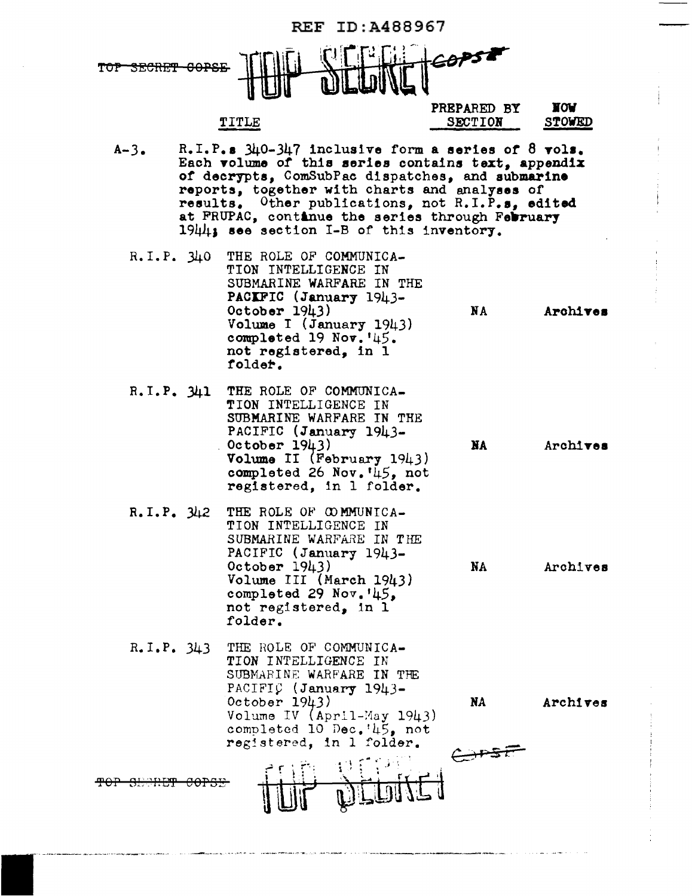| ID:A488967<br>REF                      |  |                                                                                                                                                                                      |                                                                                                                 |                                                                                                                                                                                                                                                                                                                        |                             |  |
|----------------------------------------|--|--------------------------------------------------------------------------------------------------------------------------------------------------------------------------------------|-----------------------------------------------------------------------------------------------------------------|------------------------------------------------------------------------------------------------------------------------------------------------------------------------------------------------------------------------------------------------------------------------------------------------------------------------|-----------------------------|--|
|                                        |  |                                                                                                                                                                                      |                                                                                                                 |                                                                                                                                                                                                                                                                                                                        |                             |  |
|                                        |  | TITLE                                                                                                                                                                                |                                                                                                                 | PREPARED BY<br><b>SECTION</b>                                                                                                                                                                                                                                                                                          | <b>NOA</b><br><b>STOWED</b> |  |
| $A-3.$                                 |  | 1944; see section I-B of this inventory.                                                                                                                                             |                                                                                                                 | R.I.P.s $340-347$ inclusive form a series of 8 vols.<br>Each volume of this series contains text, appendix<br>of decrypts, ComSubPac dispatches, and submarine<br>reports, together with charts and analyses of<br>results. Other publications, not R.I.P.s, edited<br>at FRUPAC, continue the series through February |                             |  |
| R.I.P. 340                             |  | THE ROLE OF COMMUNICA-<br>TION INTELLIGENCE IN<br>PACIFIC (January 1943-<br>October $1943)$<br>Volume I (January 1943)<br>completed 19 Nov. '45.<br>not registered, in 1<br>folder.  | SUBMARINE WARFARE IN THE                                                                                        | <b>NA</b>                                                                                                                                                                                                                                                                                                              | Archives                    |  |
| R.I.P. 341                             |  | THE ROLE OF COMMUNICA-<br>TION INTELLIGENCE IN<br>PACIFIC (January 1943-<br>October $1943$ )                                                                                         | SUBMARINE WARFARE IN THE<br>Volume II (February 1943)<br>completed 26 Nov. 45, not<br>registered, in 1 folder.  | <b>NA</b>                                                                                                                                                                                                                                                                                                              | Archives                    |  |
| R.I.P. 342                             |  | THE ROLE OF COMMUNICA-<br>TION INTELLIGENCE IN<br>PACIFIC (January 1943-<br>October $1943)$<br>Volume III (March 1943)<br>completed 29 $Nov.145.$<br>not registered, in 1<br>folder. | SUBMARINE WARFARE IN THE                                                                                        | NA                                                                                                                                                                                                                                                                                                                     | Archives                    |  |
| $R_{\bullet}I_{\bullet}P_{\bullet}343$ |  | THE ROLE OF COMMUNICA-<br>TION INTELLIGENCE IN<br>PACIFIC (January 1943-<br>October $1943)$                                                                                          | SUBMARINE WARFARE IN THE<br>Volume IV (April-May 1943)<br>completed 10 Dec.'45, not<br>registered, in 1 folder. | NA                                                                                                                                                                                                                                                                                                                     | Archives                    |  |
|                                        |  |                                                                                                                                                                                      |                                                                                                                 |                                                                                                                                                                                                                                                                                                                        |                             |  |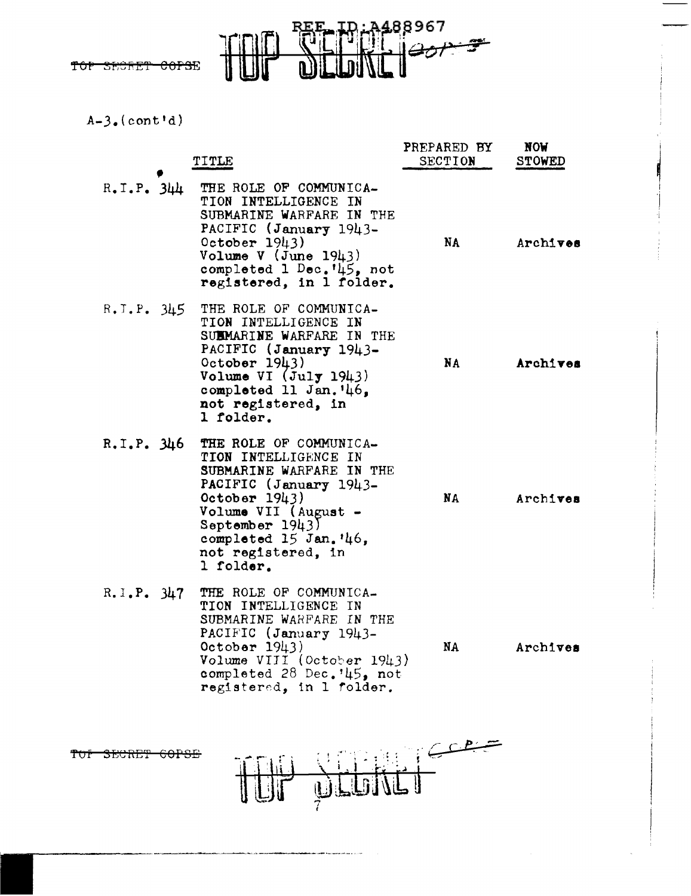- ID: 3488967<br>DUNC 007-9 **PEE**  $\mathcal{I}$ 

 $A-3. (cont'd)$ 

|                                        | <b>TITLE</b>                                                                                                                                                                                                                           | PREPARED BY<br><b>SECTION</b> | <b>NOW</b><br><b>STOWED</b> |  |
|----------------------------------------|----------------------------------------------------------------------------------------------------------------------------------------------------------------------------------------------------------------------------------------|-------------------------------|-----------------------------|--|
| $R_{\bullet}I_{\bullet}P_{\bullet}344$ | THE ROLE OF COMMUNICA-<br>TION INTELLIGENCE IN<br>SUBMARINE WARFARE IN THE<br>PACIFIC (January 1943-<br>October 1943)<br>Volume $V$ (June 1943)<br>completed 1 Dec. '45, not<br>registered, in 1 folder.                               | NA                            | Archives                    |  |
|                                        | R.I.P. 345 THE ROLE OF COMMUNICA-<br>TION INTELLIGENCE IN<br>SUBMARINE WARFARE IN THE<br>PACIFIC (January 1943-<br>October $1943)$<br>Volume VI $(July 1943)$<br>completed 11 Jan. $46.$<br>not registered, in<br>1 folder.            | NA                            | Archives                    |  |
| R.I.P. 346                             | THE ROLE OF COMMUNICA-<br>TION INTELLIGENCE IN<br>SUBMARINE WARFARE IN THE<br>PACIFIC (January 1943-<br>October $1943)$<br>Volume VII (August -<br>September $1943$ )<br>completed $15$ Jan. $46$ ,<br>not registered, in<br>l folder. | NA                            | Archives                    |  |
| R.I.P. 347                             | THE ROLE OF COMMUNICA-<br>TION INTELLIGENCE IN<br>SUBMARINE WARFARE IN THE<br>PACIFIC (January 1943-<br>October 1943)<br>Volume VIII (October 1943)<br>completed 28 Dec. '45, not<br>registered, in 1 folder.                          | NA                            | Archives                    |  |
| <del>corst</del><br><del>೨೦೦೫೫</del>   |                                                                                                                                                                                                                                        |                               |                             |  |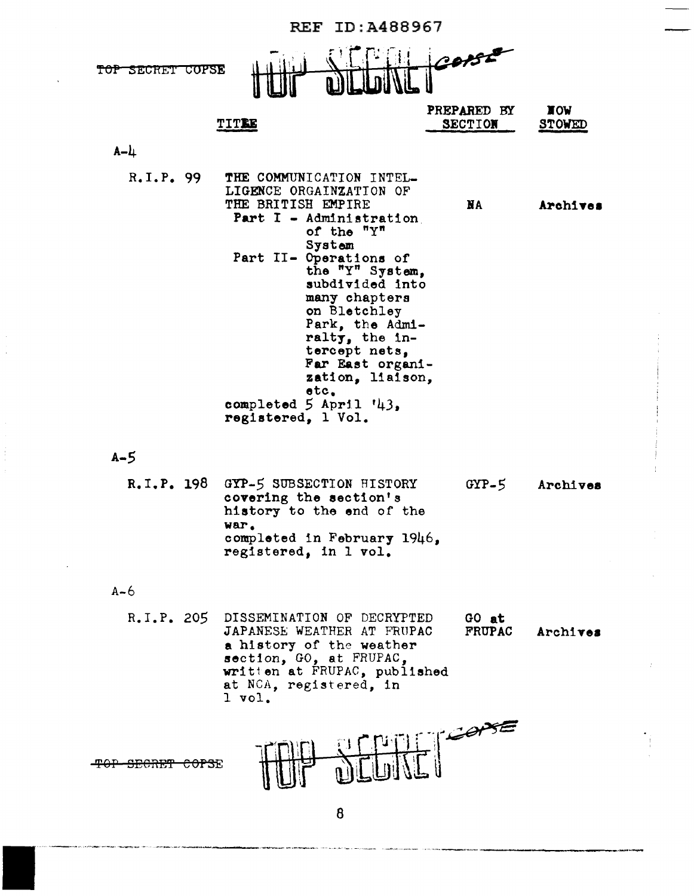|                  | <b>REF ID:A488967</b>                                                                                                                                                                                                                                                                                                                                                                    |                               |                             |  |  |
|------------------|------------------------------------------------------------------------------------------------------------------------------------------------------------------------------------------------------------------------------------------------------------------------------------------------------------------------------------------------------------------------------------------|-------------------------------|-----------------------------|--|--|
| TOP SECRET COPSE |                                                                                                                                                                                                                                                                                                                                                                                          |                               |                             |  |  |
|                  | TITEE                                                                                                                                                                                                                                                                                                                                                                                    | PREPARED BY<br><b>SECTION</b> | <b>NOW</b><br><b>STOWED</b> |  |  |
| $A - L$          |                                                                                                                                                                                                                                                                                                                                                                                          |                               |                             |  |  |
| R, I, P, 99      | THE COMMUNICATION INTEL-<br>LIGENCE ORGAINZATION OF<br>THE BRITISH EMPIRE<br>Part I - Administration<br>of the "Y"<br>System<br>Part II- Operations of<br>the "Y" System,<br>subdivided into<br>many chapters<br>on Bletchley<br>Park, the Admi-<br>ralty, the in-<br>tercept nets,<br>Far East organi-<br>zation, liaison,<br>etc.<br>completed $5$ April $'43$ ,<br>registered, 1 Vol. | NA                            | Archives                    |  |  |
| $A - 5$          |                                                                                                                                                                                                                                                                                                                                                                                          |                               |                             |  |  |
|                  | R.I.P. 198 GYP-5 SUBSECTION HISTORY<br>covering the section's<br>history to the end of the<br>war.<br>completed in February 1946,<br>registered, in 1 vol.                                                                                                                                                                                                                               | $GYP-5$                       | Archives                    |  |  |
| $A - 6$          |                                                                                                                                                                                                                                                                                                                                                                                          |                               |                             |  |  |
| R.I.P. 205       | DISSEMINATION OF DECRYPTED<br>JAPANESE WEATHER AT FRUPAC<br>a history of the weather<br>section, GO, at FRUPAC,<br>written at FRUPAC, published<br>at NCA, registered, in<br>$1$ vol.                                                                                                                                                                                                    | GO at<br><b>FRUPAC</b>        | Archives                    |  |  |
|                  |                                                                                                                                                                                                                                                                                                                                                                                          |                               |                             |  |  |

8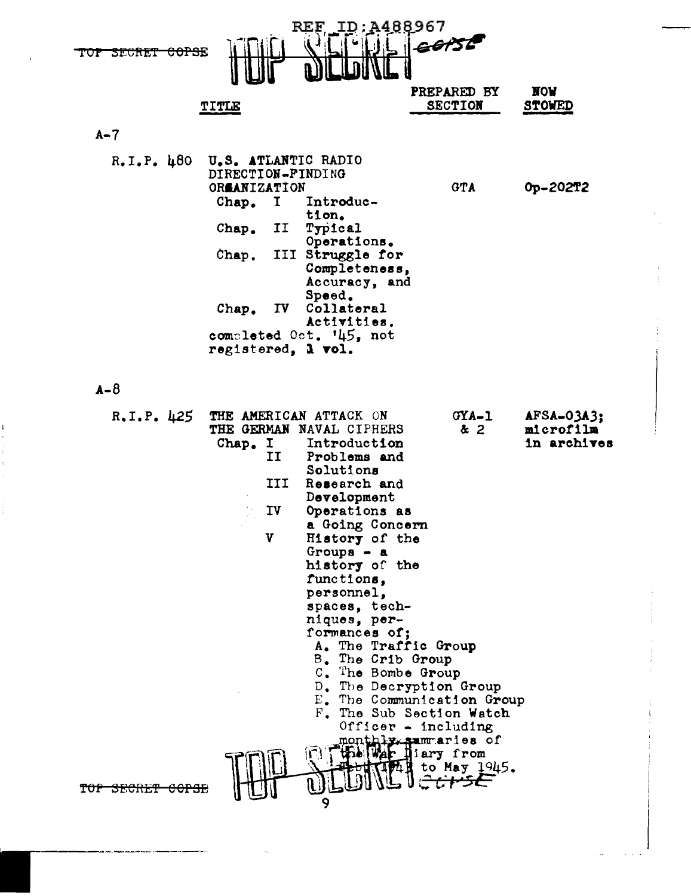

|                                         | <b>TITLE</b>                                                                                                                                    |                                                                                                                                                                                                                                                                                                                                                                               | PREPARED BY<br><b>SECTION</b>                                                                                                                                                                         | <b>NOA</b><br><b>STOWED</b>            |
|-----------------------------------------|-------------------------------------------------------------------------------------------------------------------------------------------------|-------------------------------------------------------------------------------------------------------------------------------------------------------------------------------------------------------------------------------------------------------------------------------------------------------------------------------------------------------------------------------|-------------------------------------------------------------------------------------------------------------------------------------------------------------------------------------------------------|----------------------------------------|
| $A - 7$                                 |                                                                                                                                                 |                                                                                                                                                                                                                                                                                                                                                                               |                                                                                                                                                                                                       |                                        |
| $R_{\bullet}I_{\bullet}P_{\bullet}$ 480 | U.S. ATLANTIC RADIO<br>DIRECTION-FINDING<br>ORGANIZATION<br>$\mathbf I$<br>Chap.<br>II<br>Chap.<br>Chap.<br>IV D<br>Chap.<br>registered, 1 vol. | Introduc-<br>tion.<br>Typical<br>Operations.<br>III Struggle for<br>Completeness,<br>Accuracy, and<br>Speed.<br>Collateral<br>Activities.<br>completed Oct. '45, not                                                                                                                                                                                                          | GTA                                                                                                                                                                                                   | Op-202T2                               |
| $A - B$                                 |                                                                                                                                                 |                                                                                                                                                                                                                                                                                                                                                                               |                                                                                                                                                                                                       |                                        |
| R, I, P, 425                            | Chap. I<br>IJ<br>III<br>IV<br>V                                                                                                                 | THE AMERICAN ATTACK ON<br>THE GERMAN NAVAL CIPHERS<br>Introduction<br>Problems and<br>Solutions<br>Research and<br>Development<br>Operations as<br>a Going Concern<br>History of the<br>Groups $\bullet$ a<br>history of the<br>functions.<br>personnel,<br>spaces, tech-<br>niques, per-<br>formances of;<br>A. The Traffic Group<br>B. The Crib Group<br>C. The Bombe Group | $GXA-1$<br>x <sub>2</sub><br>D. The Decryption Group<br>E. The Communication Group<br>F. The Sub Section Watch<br>Officer - including<br>monthly summaries of<br>the War hiary from<br>to May $1945.$ | AFSA-03A3;<br>microfilm<br>in archives |
| <del>uursi</del>                        |                                                                                                                                                 | Q                                                                                                                                                                                                                                                                                                                                                                             |                                                                                                                                                                                                       |                                        |

š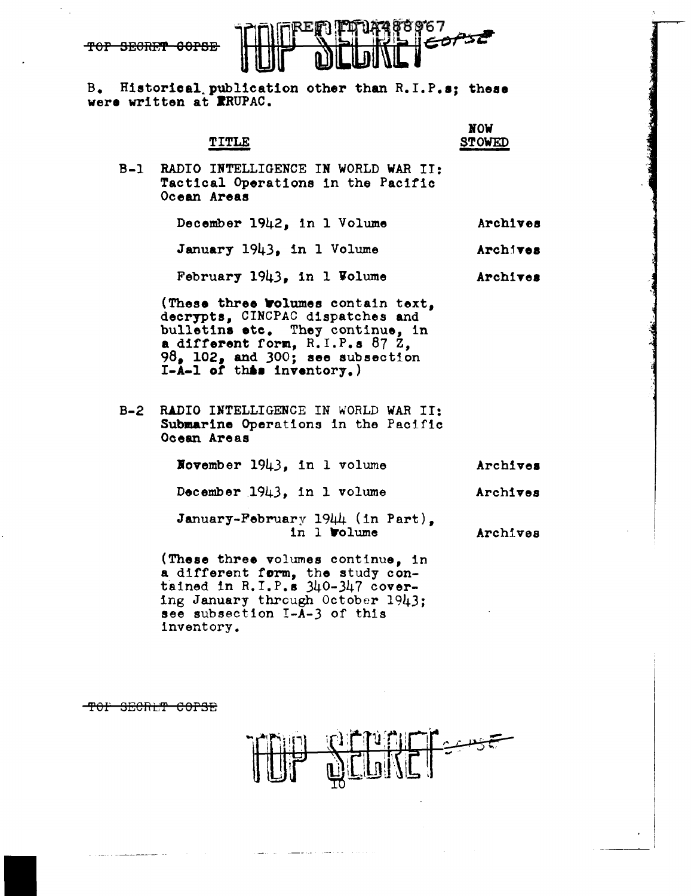

B. Historical.publication other than R.I.P.s; these were written at RRUPAC.

|                                                                                                                                                                                                                               | NOW<br><b>STOWED</b> |
|-------------------------------------------------------------------------------------------------------------------------------------------------------------------------------------------------------------------------------|----------------------|
| B-1 RADIO INTELLIGENCE IN WORLD WAR II:<br>Tactical Operations in the Pacific<br>Ocean Areas                                                                                                                                  |                      |
| December 1942, in 1 Volume                                                                                                                                                                                                    | Archives             |
| January 1943, in 1 Volume                                                                                                                                                                                                     | Archives             |
| February 1943, in 1 Volume                                                                                                                                                                                                    | Archives             |
| (These three <b>Wolumes</b> contain text,<br>decrypts, CINCPAC dispatches and<br>bulletins etc. They continue, in<br>a different form, $R. I.P.s. 87 Z,$<br>$98o$ 102, and 300; see subsection<br>$I-A-1$ of this inventory.) |                      |
| B-2 RADIO INTELLIGENCE IN WORLD WAR II:<br>Submarine Operations in the Pacific<br>Ocean Areas                                                                                                                                 |                      |
| November 1943, in 1 volume                                                                                                                                                                                                    | Archives             |
| December 1943, in 1 volume                                                                                                                                                                                                    | Archives             |
| January-February 1944 (in Part),<br>in 1 <b>volume</b>                                                                                                                                                                        | Archives             |
| (These three volumes continue, in<br>a different form, the study con-<br>tained in $R.I.P.s. 340-347$ cover-<br>ing January through October 1943;                                                                             |                      |

see subsection I-A-3 of this

TOP SECRET COPSE

inventory.

ستعوسيه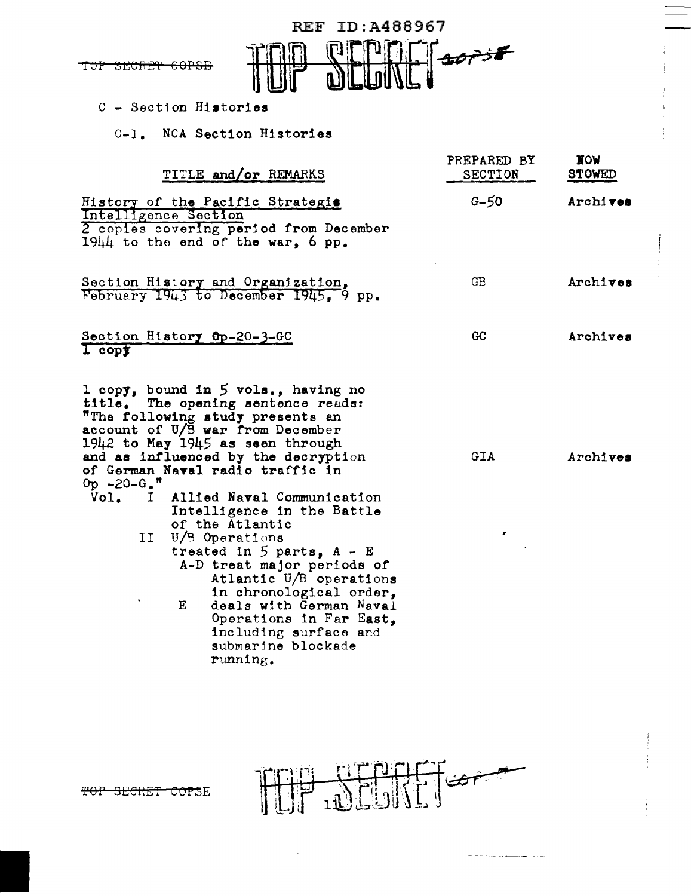

### C - Section Histories

C-1. NCA Section Histories

| TITLE and/or REMARKS                                                                                                                                                                                                                                                                                                                                                                                                                                                                                                                                                                                                                                    | PREPARED BY<br><b>SECTION</b> | <b>NOM</b><br><b>STOWED</b> |
|---------------------------------------------------------------------------------------------------------------------------------------------------------------------------------------------------------------------------------------------------------------------------------------------------------------------------------------------------------------------------------------------------------------------------------------------------------------------------------------------------------------------------------------------------------------------------------------------------------------------------------------------------------|-------------------------------|-----------------------------|
| History of the Pacific Strategis<br>Intelligence Section<br>2 copies covering period from December<br>$19\mu\mu$ to the end of the war, 6 pp.                                                                                                                                                                                                                                                                                                                                                                                                                                                                                                           | $G - 50$                      | Archives                    |
| Section History and Organization,<br>February 1943 to December 1945, 9 pp.                                                                                                                                                                                                                                                                                                                                                                                                                                                                                                                                                                              | GB.                           | Archives                    |
| Section History Op-20-3-GC<br>$1$ copy                                                                                                                                                                                                                                                                                                                                                                                                                                                                                                                                                                                                                  | GC                            | Archives                    |
| 1 copy, bound in 5 vols., having no<br>title. The opening sentence reads:<br>"The following study presents an<br>account of U/B war from December<br>$1942$ to May $1945$ as seen through<br>and as influenced by the decryption<br>of German Naval radio traffic in<br>$0p - 20 - G$ , $"$<br>Vol. I<br>Allied Naval Communication<br>Intelligence in the Battle<br>of the Atlantic<br>U/B Operations<br>IJ<br>treated in $5$ parts, $A - E$<br>A-D treat major periods of<br>Atlantic U/B operations<br>in chronological order,<br>Ε<br>deals with German Naval<br>Operations in Far East,<br>including surface and<br>submarine blockade<br>running. | GIA                           | Archives                    |



an an <del>company and</del> company and

TOP SECRET COPSE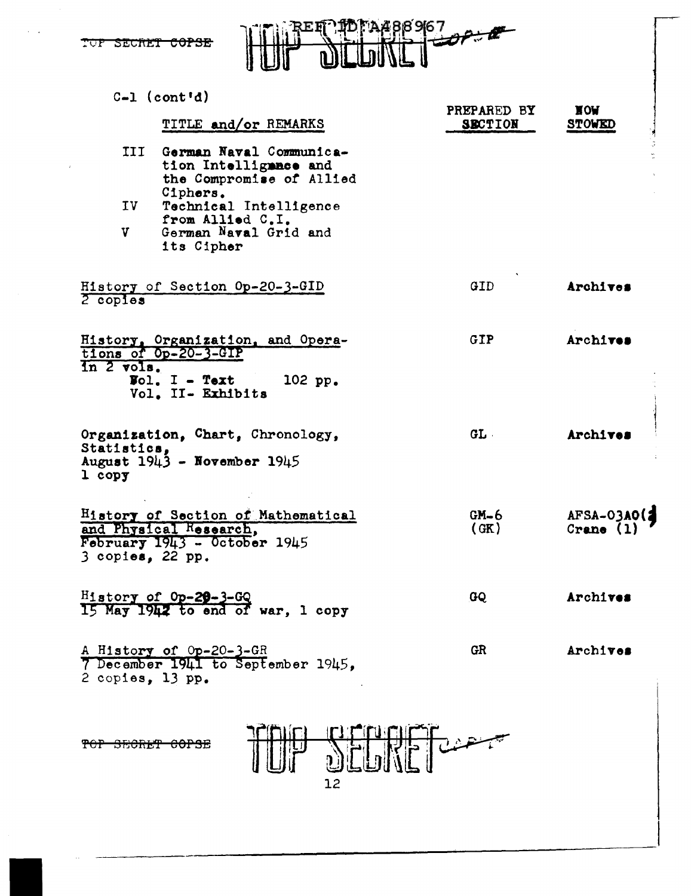



|                         | $C-1$ (cont'd)                                                                                                                                                                |                               |                             |
|-------------------------|-------------------------------------------------------------------------------------------------------------------------------------------------------------------------------|-------------------------------|-----------------------------|
|                         | TITLE and/or REMARKS                                                                                                                                                          | PREPARED BY<br><b>SECTION</b> | <b>NOW</b><br><b>STOWED</b> |
| III<br>IV<br>V          | German Naval Communica-<br>tion Intelligance and<br>the Compromise of Allied<br>Ciphers.<br>Technical Intelligence<br>from Allied C.I.<br>German Naval Grid and<br>its Cipher |                               |                             |
| $2$ copies              | History of Section Op-20-3-GID                                                                                                                                                | GID.                          | Archives                    |
| In 2 vols.              | History, Organization, and Opera-<br>tions of Op-20-3-GIP<br>$\text{Vol}_{\bullet}$ I - Text<br>102 pp.<br>Vol. II- Exhibits                                                  | GIP.                          | Archives                    |
| Statistics.<br>$1$ copy | Organization, Chart, Chronology,<br>August 1943 - November 1945                                                                                                               | GL                            | Archives                    |
| $3$ copies, 22 pp.      | History of Section of Mathematical<br>and Physical Research,<br>February $1943 - 0$ ctober $1945$                                                                             | $GM-6$<br>(GK)                | AFSA-03A0(2<br>Crane $(1)$  |
|                         | $\frac{H_1 \text{story of 0p-29-3-GQ}}{15 \text{ May 1942 to end of war, 1 copy}}$                                                                                            | GQ                            | Archives                    |
| 2 copies, 13 pp.        | A History of Op-20-3-GR<br>7 December 1941 to September 1945,                                                                                                                 | <b>GR</b>                     | Archives                    |
|                         |                                                                                                                                                                               |                               |                             |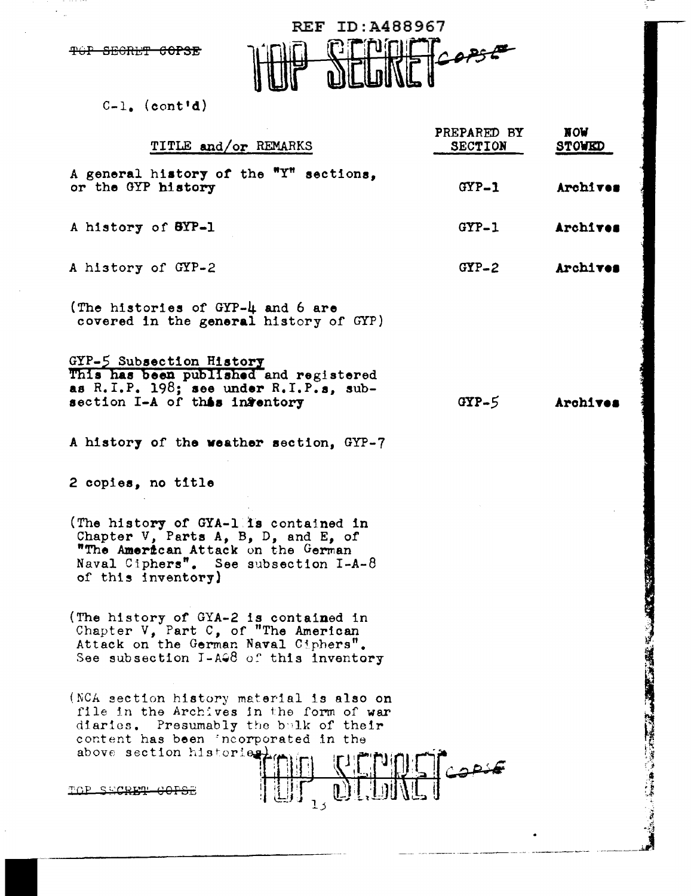REF ID:A488967 FUINE COPSE  $\boldsymbol{\widehat{\Gamma}}$ 

 $C-1.$  (cont'd)

| TITLE and/or REMARKS                                                                                                                                                                               | PREPARED BY<br><b>SECTION</b> | <b>NOW</b><br><b>STOWED</b> |
|----------------------------------------------------------------------------------------------------------------------------------------------------------------------------------------------------|-------------------------------|-----------------------------|
| A general history of the "Y" sections,<br>or the GYP history                                                                                                                                       | $GYP-1$                       | Archives                    |
| A history of BYP-1                                                                                                                                                                                 | $GYP-1$                       | Archives                    |
| A history of GYP-2                                                                                                                                                                                 | $GYP-2$                       | Archives                    |
| (The histories of GYP-4 and 6 are<br>covered in the general history of GYP)                                                                                                                        |                               |                             |
| GYP-5 Subsection History<br>This has been published and registered<br>as $R.I.P. 198;$ see under $R.I.P.s.$ sub-<br>section I-A of this infentory                                                  | $GYP-5$                       | Archives                    |
| A history of the weather section, GYP-7                                                                                                                                                            |                               |                             |
| 2 copies, no title                                                                                                                                                                                 |                               |                             |
| (The history of GYA-1 is contained in<br>Chapter V, Parts A, B, D, and E, of<br>"The American Attack on the German<br>Naval Ciphers". See subsection $I-A-\delta$<br>of this inventory)            |                               |                             |
| (The history of GYA-2 is contained in<br>Chapter V, Part C, of "The American<br>Attack on the German Naval Ciphers".<br>See subsection I-AG8 of this inventory                                     |                               |                             |
| (NCA section history material is also on<br>file in the Archives in the form of war<br>diaries. Presumably the bulk of their<br>content has been incorporated in the<br>above section historiestic |                               |                             |
| $\frac{\sum_{i=1}^{n} \binom{n}{i}}{\prod_{i=1}^{n} \binom{n}{i}}$<br>TOP SECRET GOPS                                                                                                              |                               |                             |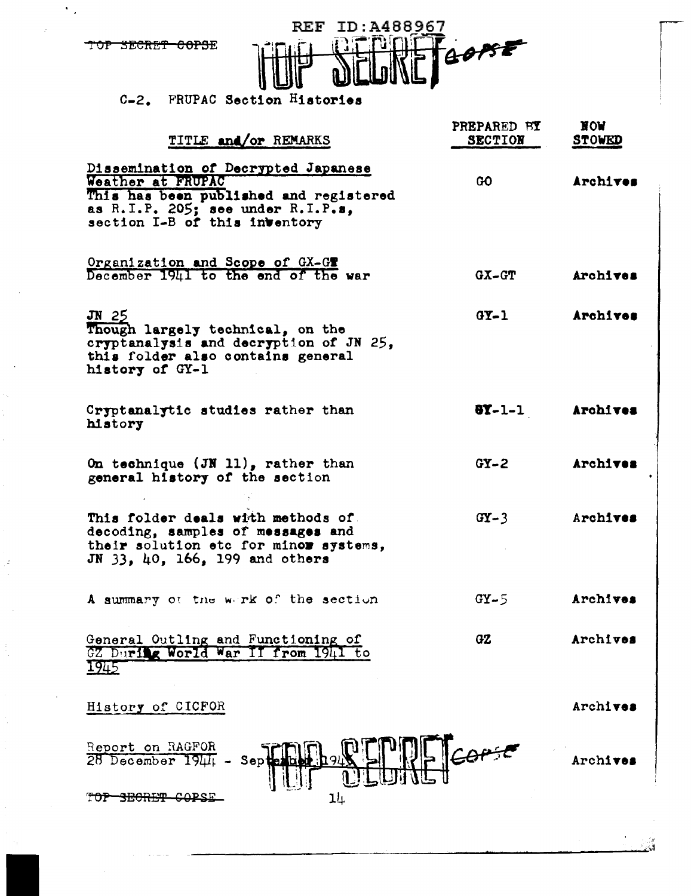

 $\epsilon_{\rm{B}}$ 

J,



# C-2. FRUPAC Section Histories

| TITLE and/or REMARKS                                                                                                                                                     | PREPARED BY<br><b>SECTION</b> | NOW<br><b>STOWED</b> |
|--------------------------------------------------------------------------------------------------------------------------------------------------------------------------|-------------------------------|----------------------|
| Dissemination of Decrypted Japanese<br>Weather at FRUPAC<br>This has been published and registered<br>as R.I.P. 205; see under R.I.P.s.<br>section I-B of this inventory | GO.                           | Archives             |
| Organization and Scope of GX-GT<br>December 1941 to the end of the war                                                                                                   | $GX-GT$                       | Archives             |
| $JN$ 25<br>Though largely technical, on the<br>cryptanalysis and decryption of JN 25,<br>this folder also contains general<br>history of GY-1                            | $0Y-1$                        | Archives             |
| Cryptanalytic studies rather than<br>history                                                                                                                             | $8Y-1-1$                      | Archives             |
| On technique $(JN 11)$ , rather than<br>general history of the section                                                                                                   | $GY - 2$                      | Archives             |
| This folder deals with methods of<br>decoding, samples of messages and<br>their solution etc for minor systems,<br>JN 33, 40, 166, 199 and others                        | $GY - 3$                      | Archives             |
| A summary of the werk of the section                                                                                                                                     | $GY - 5$                      | Archives             |
| General Outling and Functioning of<br>During World War<br>from<br>1941<br>GZ<br>1945                                                                                     | GZ                            | Archives             |
| History of CICFOR                                                                                                                                                        |                               | Archives             |
| Report on RAGFOR<br>28 December 1944 -<br>Sep                                                                                                                            |                               | Archi <b>ves</b>     |
| 14                                                                                                                                                                       |                               |                      |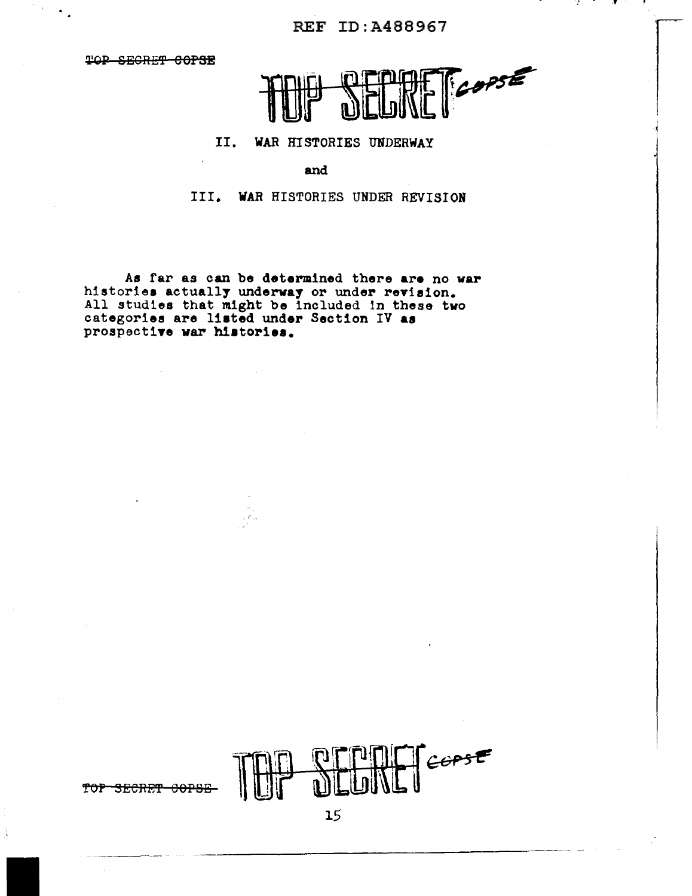**REF ID:A488967** 

TOP SECRET COPSE

 $\ddot{\phantom{a}}$  .



#### II. WAR HISTORIES UNDERWAY

and

III. WAR HISTORIES UNDER REVISION

As far as can be determined there are no war histories actually underway or under revision.<br>All studies that might be included in these two<br>categories are listed under Section IV as prospective war histories.



TOP SECRET COPSE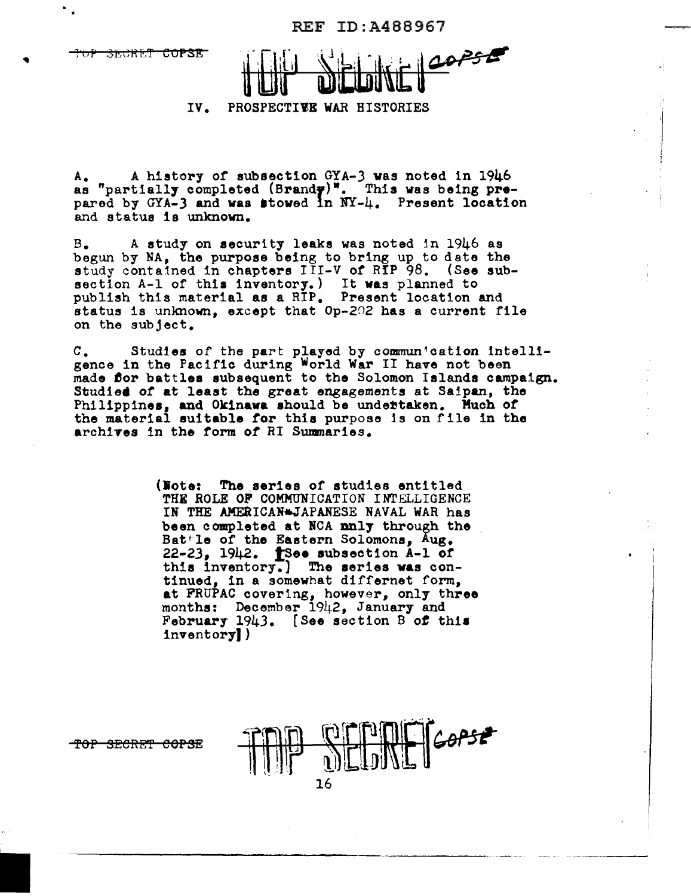REF ID:A488967

·:

<del>SLCRET COPSE</del>

COPSE

IV. PROSPECTIVE WAR HISTORIES

A. A history of subsection GYA-3 was noted in 1946 as "partially completed (Brandy)". This was being prepared by  $GYA-3$  and was stowed in  $NY-4$ . Present location and status is unknown.

B. A study on security leaks was noted in 1946 as begun by NA, the purpose being to bring up to date the study contained in chapters III-V of RIP 98. (See subsection A-1 of this inventory.) It was planned to publish this material as a RIP. Present location and status is unknown, except that Op-202 has a current file on the subject.

c. Studies of the part played by commun~cation Intelligence in the Pacific during World War II have not been made for battles subsequent to the Solomon Islands campaign. Studied of at least the great engagements at Saipan, the Philippines, and Okinawa should be undertaken. Much or the material suitable tor this purpose ls on file in the archives 1n the form *of* RI Swmnaries.

> (Note: The series of studies entitled THE ROLE OF COMMUNICATION INTELLIGENCE IN THE AMERICAN<sup>\*</sup>JAPANESE NAVAL WAR has been completed at HCA nnl7 through the Bat<sup>-</sup>le of the Eastern Solomons, Aug.  $22-23$ ,  $1942$ .  $\uparrow$ See subsection A-1 of this inventory.] The series was continued, in a somewhat differnet form, at FRUPAC covering, however, only three months: December 1942, January and February 1943. (See section B *ot* this inventory))

<del>-TOP SECRET COPSE</del>

16